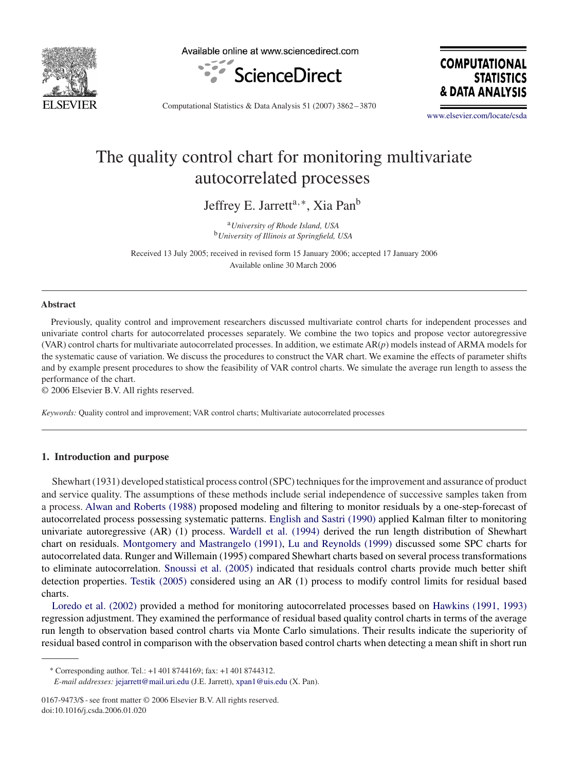

Available online at www.sciencedirect.com



**COMPUTATIONAL STATISTICS** & DATA ANAL'

Computational Statistics & Data Analysis 51 (2007) 3862 – 3870

[www.elsevier.com/locate/csda](http://www.elsevier.com/locate/csda)

## The quality control chart for monitoring multivariate autocorrelated processes

Jeffrey E. Jarrett<sup>a,∗</sup>, Xia Pan<sup>b</sup>

<sup>a</sup>*University of Rhode Island, USA* <sup>b</sup>*University of Illinois at Springfield, USA*

Received 13 July 2005; received in revised form 15 January 2006; accepted 17 January 2006 Available online 30 March 2006

#### **Abstract**

Previously, quality control and improvement researchers discussed multivariate control charts for independent processes and univariate control charts for autocorrelated processes separately. We combine the two topics and propose vector autoregressive (VAR) control charts for multivariate autocorrelated processes. In addition, we estimate AR(*p*) models instead of ARMA models for the systematic cause of variation. We discuss the procedures to construct the VAR chart. We examine the effects of parameter shifts and by example present procedures to show the feasibility of VAR control charts. We simulate the average run length to assess the performance of the chart.

© 2006 Elsevier B.V. All rights reserved.

*Keywords:* Quality control and improvement; VAR control charts; Multivariate autocorrelated processes

### **1. Introduction and purpose**

Shewhart (1931) developed statistical process control (SPC) techniques for the improvement and assurance of product and service quality. The assumptions of these methods include serial independence of successive samples taken from a process. [Alwan and Roberts \(1988\)](#page--1-0) proposed modeling and filtering to monitor residuals by a one-step-forecast of autocorrelated process possessing systematic patterns. [English and Sastri \(1990\)](#page--1-0) applied Kalman filter to monitoring univariate autoregressive (AR) (1) process. [Wardell et al. \(1994\)](#page--1-0) derived the run length distribution of Shewhart chart on residuals. [Montgomery and Mastrangelo \(1991\),](#page--1-0) [Lu and Reynolds \(1999\)](#page--1-0) discussed some SPC charts for autocorrelated data. Runger and Willemain (1995) compared Shewhart charts based on several process transformations to eliminate autocorrelation. [Snoussi et al. \(2005\)](#page--1-0) indicated that residuals control charts provide much better shift detection properties. [Testik \(2005\)](#page--1-0) considered using an AR (1) process to modify control limits for residual based charts.

[Loredo et al. \(2002\)](#page--1-0) provided a method for monitoring autocorrelated processes based on Hawkins (1991, 1993) regression adjustment. They examined the performance of residual based quality control charts in terms of the average run length to observation based control charts via Monte Carlo simulations. Their results indicate the superiority of residual based control in comparison with the observation based control charts when detecting a mean shift in short run

<sup>∗</sup> Corresponding author. Tel.: +1 401 8744169; fax: +1 401 8744312. *E-mail addresses:* [jejarrett@mail.uri.edu](mailto:jejarrett@mail.uri.edu) (J.E. Jarrett), [xpan1@uis.edu](mailto:xpan1@uis.edu) (X. Pan).

<sup>0167-9473/\$ -</sup> see front matter © 2006 Elsevier B.V. All rights reserved. doi:10.1016/j.csda.2006.01.020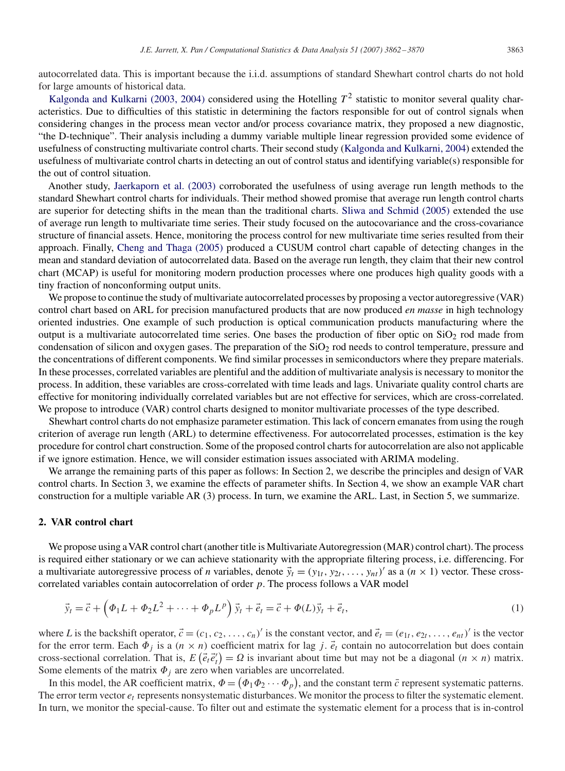autocorrelated data. This is important because the i.i.d. assumptions of standard Shewhart control charts do not hold for large amounts of historical data.

Kalgonda and Kulkarni (2003, 2004) considered using the Hotelling  $T^2$  statistic to monitor several quality characteristics. Due to difficulties of this statistic in determining the factors responsible for out of control signals when considering changes in the process mean vector and/or process covariance matrix, they proposed a new diagnostic, "the D-technique". Their analysis including a dummy variable multiple linear regression provided some evidence of usefulness of constructing multivariate control charts. Their second study [\(Kalgonda and Kulkarni, 2004\)](#page--1-0) extended the usefulness of multivariate control charts in detecting an out of control status and identifying variable(s) responsible for the out of control situation.

Another study, [Jaerkaporn et al. \(2003\)](#page--1-0) corroborated the usefulness of using average run length methods to the standard Shewhart control charts for individuals. Their method showed promise that average run length control charts are superior for detecting shifts in the mean than the traditional charts. [Sliwa and Schmid \(2005\)](#page--1-0) extended the use of average run length to multivariate time series. Their study focused on the autocovariance and the cross-covariance structure of financial assets. Hence, monitoring the process control for new multivariate time series resulted from their approach. Finally, [Cheng and Thaga \(2005\)](#page--1-0) produced a CUSUM control chart capable of detecting changes in the mean and standard deviation of autocorrelated data. Based on the average run length, they claim that their new control chart (MCAP) is useful for monitoring modern production processes where one produces high quality goods with a tiny fraction of nonconforming output units.

We propose to continue the study of multivariate autocorrelated processes by proposing a vector autoregressive (VAR) control chart based on ARL for precision manufactured products that are now produced *en masse* in high technology oriented industries. One example of such production is optical communication products manufacturing where the output is a multivariate autocorrelated time series. One bases the production of fiber optic on  $SiO<sub>2</sub>$  rod made from condensation of silicon and oxygen gases. The preparation of the SiO<sub>2</sub> rod needs to control temperature, pressure and the concentrations of different components. We find similar processes in semiconductors where they prepare materials. In these processes, correlated variables are plentiful and the addition of multivariate analysis is necessary to monitor the process. In addition, these variables are cross-correlated with time leads and lags. Univariate quality control charts are effective for monitoring individually correlated variables but are not effective for services, which are cross-correlated. We propose to introduce (VAR) control charts designed to monitor multivariate processes of the type described.

Shewhart control charts do not emphasize parameter estimation. This lack of concern emanates from using the rough criterion of average run length (ARL) to determine effectiveness. For autocorrelated processes, estimation is the key procedure for control chart construction. Some of the proposed control charts for autocorrelation are also not applicable if we ignore estimation. Hence, we will consider estimation issues associated with ARIMA modeling.

We arrange the remaining parts of this paper as follows: In Section 2, we describe the principles and design of VAR control charts. In Section 3, we examine the effects of parameter shifts. In Section 4, we show an example VAR chart construction for a multiple variable AR (3) process. In turn, we examine the ARL. Last, in Section 5, we summarize.

#### **2. VAR control chart**

We propose using a VAR control chart (another title is Multivariate Autoregression (MAR) control chart). The process is required either stationary or we can achieve stationarity with the appropriate filtering process, i.e. differencing. For a multivariate autoregressive process of *n* variables, denote  $\vec{y}_t = (y_{1t}, y_{2t}, \dots, y_{nt})'$  as a  $(n \times 1)$  vector. These crosscorrelated variables contain autocorrelation of order  $p$ . The process follows a VAR model

$$
\vec{y}_t = \vec{c} + \left(\Phi_1 L + \Phi_2 L^2 + \dots + \Phi_p L^p\right) \vec{y}_t + \vec{e}_t = \vec{c} + \Phi(L) \vec{y}_t + \vec{e}_t,
$$
\n(1)

where *L* is the backshift operator,  $\vec{c} = (c_1, c_2, \dots, c_n)'$  is the constant vector, and  $\vec{e}_t = (e_{1t}, e_{2t}, \dots, e_{nt})'$  is the vector for the error term. Each  $\Phi_j$  is a  $(n \times n)$  coefficient matrix for lag j.  $\vec{e}_t$  contain no autocorrelation but does contain cross-sectional correlation. That is,  $E(\vec{e}_t \vec{e}'_t) = \Omega$  is invariant about time but may not be a diagonal  $(n \times n)$  matrix. Some elements of the matrix  $\Phi_j$  are zero when variables are uncorrelated.

In this model, the AR coefficient matrix,  $\Phi = (\Phi_1 \Phi_2 \cdots \Phi_p)$ , and the constant term  $\bar{c}$  represent systematic patterns. The error term vector  $e_t$  represents nonsystematic disturbances. We monitor the process to filter the systematic element. In turn, we monitor the special-cause. To filter out and estimate the systematic element for a process that is in-control